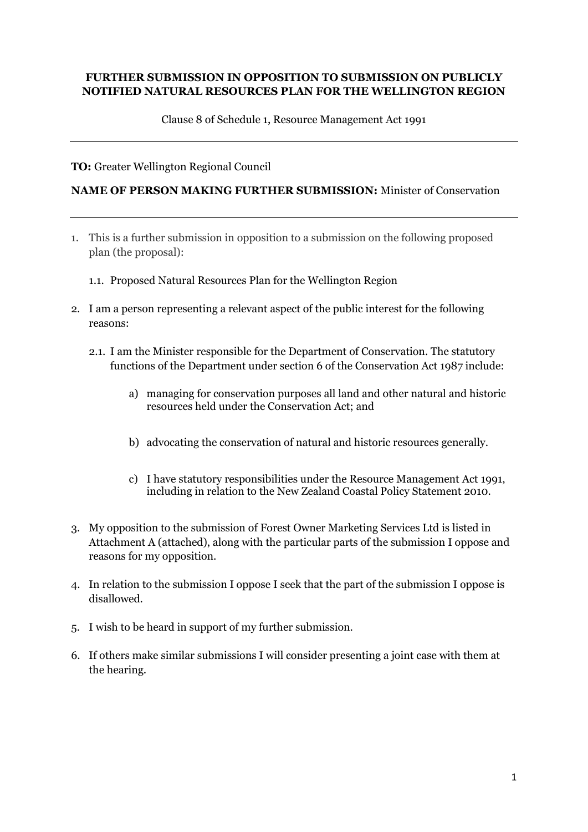## **FURTHER SUBMISSION IN OPPOSITION TO SUBMISSION ON PUBLICLY NOTIFIED NATURAL RESOURCES PLAN FOR THE WELLINGTON REGION**

Clause 8 of Schedule 1, Resource Management Act 1991

**TO:** Greater Wellington Regional Council

## **NAME OF PERSON MAKING FURTHER SUBMISSION:** Minister of Conservation

- 1. This is a further submission in opposition to a submission on the following proposed plan (the proposal):
	- 1.1. Proposed Natural Resources Plan for the Wellington Region
- 2. I am a person representing a relevant aspect of the public interest for the following reasons:
	- 2.1. I am the Minister responsible for the Department of Conservation. The statutory functions of the Department under section 6 of the Conservation Act 1987 include:
		- a) managing for conservation purposes all land and other natural and historic resources held under the Conservation Act; and
		- b) advocating the conservation of natural and historic resources generally.
		- c) I have statutory responsibilities under the Resource Management Act 1991, including in relation to the New Zealand Coastal Policy Statement 2010.
- 3. My opposition to the submission of Forest Owner Marketing Services Ltd is listed in Attachment A (attached), along with the particular parts of the submission I oppose and reasons for my opposition.
- 4. In relation to the submission I oppose I seek that the part of the submission I oppose is disallowed.
- 5. I wish to be heard in support of my further submission.
- 6. If others make similar submissions I will consider presenting a joint case with them at the hearing.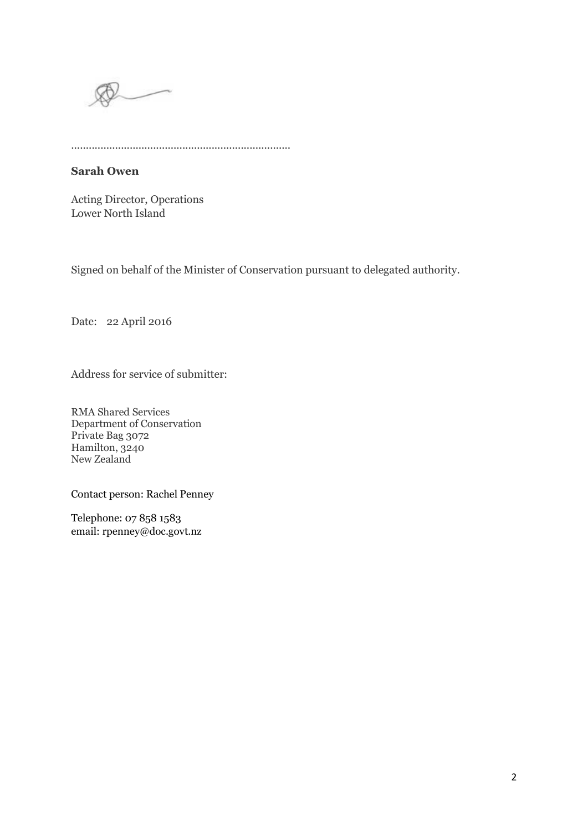

...........................................................................

## **Sarah Owen**

Acting Director, Operations Lower North Island

Signed on behalf of the Minister of Conservation pursuant to delegated authority.

Date: 22 April 2016

Address for service of submitter:

RMA Shared Services Department of Conservation Private Bag 3072 Hamilton, 3240 New Zealand

Contact person: Rachel Penney

Telephone: 07 858 1583 email: rpenney@doc.govt.nz